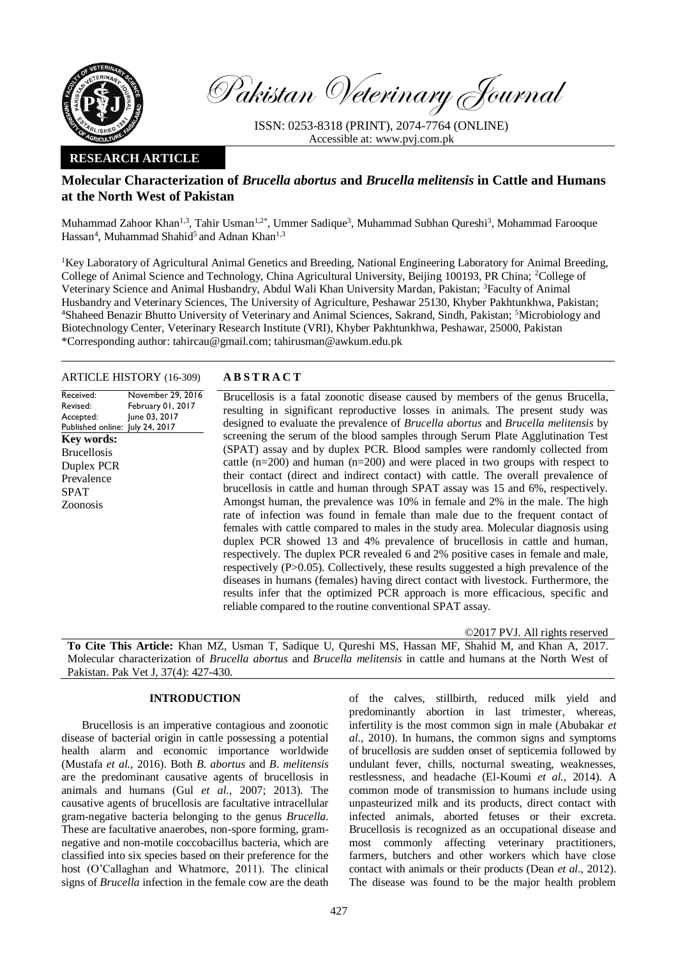

Pakistan Veterinary Journal

ISSN: 0253-8318 (PRINT), 2074-7764 (ONLINE) Accessible at: [www.pvj.com.pk](http://www.pvj.com.pk/)

## **RESEARCH ARTICLE**

# **Molecular Characterization of** *Brucella abortus* **and** *Brucella melitensis* **in Cattle and Humans at the North West of Pakistan**

Muhammad Zahoor Khan<sup>1,3</sup>, Tahir Usman<sup>1,2\*</sup>, Ummer Sadique<sup>3</sup>, Muhammad Subhan Qureshi<sup>3</sup>, Mohammad Farooque Hassan<sup>4</sup>, Muhammad Shahid<sup>5</sup> and Adnan Khan<sup>1,3</sup>

<sup>1</sup>Key Laboratory of Agricultural Animal Genetics and Breeding, National Engineering Laboratory for Animal Breeding, College of Animal Science and Technology, China Agricultural University, Beijing 100193, PR China; <sup>2</sup>College of Veterinary Science and Animal Husbandry, Abdul Wali Khan University Mardan, Pakistan; <sup>3</sup>Faculty of Animal Husbandry and Veterinary Sciences, The University of Agriculture, Peshawar 25130, Khyber Pakhtunkhwa, Pakistan; <sup>4</sup>Shaheed Benazir Bhutto University of Veterinary and Animal Sciences, Sakrand, Sindh, Pakistan; <sup>5</sup>Microbiology and Biotechnology Center, Veterinary Research Institute (VRI), Khyber Pakhtunkhwa, Peshawar, 25000, Pakistan \*Corresponding author: tahircau@gmail.com; tahirusman@awkum.edu.pk

### ARTICLE HISTORY (16-309) **A B S T R A C T**

Received: Revised: Accepted: Published online: July 24, 2017 November 29, 2016 February 01, 2017 June 03, 2017 **Key words:**  Brucellosis Duplex PCR Prevalence SPAT Zoonosis

Brucellosis is a fatal zoonotic disease caused by members of the genus Brucella, resulting in significant reproductive losses in animals. The present study was designed to evaluate the prevalence of *Brucella abortus* and *Brucella melitensis* by screening the serum of the blood samples through Serum Plate Agglutination Test (SPAT) assay and by duplex PCR. Blood samples were randomly collected from cattle  $(n=200)$  and human  $(n=200)$  and were placed in two groups with respect to their contact (direct and indirect contact) with cattle. The overall prevalence of brucellosis in cattle and human through SPAT assay was 15 and 6%, respectively. Amongst human, the prevalence was 10% in female and 2% in the male. The high rate of infection was found in female than male due to the frequent contact of females with cattle compared to males in the study area. Molecular diagnosis using duplex PCR showed 13 and 4% prevalence of brucellosis in cattle and human, respectively. The duplex PCR revealed 6 and 2% positive cases in female and male, respectively (P>0.05). Collectively, these results suggested a high prevalence of the diseases in humans (females) having direct contact with livestock. Furthermore, the results infer that the optimized PCR approach is more efficacious, specific and reliable compared to the routine conventional SPAT assay.

©2017 PVJ. All rights reserved

**To Cite This Article:** Khan MZ, Usman T, Sadique U, Qureshi MS, Hassan MF, Shahid M, and Khan A, 2017. Molecular characterization of *Brucella abortus* and *Brucella melitensis* in cattle and humans at the North West of Pakistan. Pak Vet J, 37(4): 427-430.

## **INTRODUCTION**

Brucellosis is an imperative contagious and zoonotic disease of bacterial origin in cattle possessing a potential health alarm and economic importance worldwide (Mustafa *et al.,* 2016). Both *B. abortus* and *B. melitensis* are the predominant causative agents of brucellosis in animals and humans (Gul *et al.,* 2007; 2013). The causative agents of brucellosis are facultative intracellular gram-negative bacteria belonging to the genus *Brucella*. These are facultative anaerobes, non-spore forming, gramnegative and non-motile coccobacillus bacteria, which are classified into six species based on their preference for the host (O'Callaghan and Whatmore, 2011). The clinical signs of *Brucella* infection in the female cow are the death

of the calves, stillbirth, reduced milk yield and predominantly abortion in last trimester, whereas, infertility is the most common sign in male (Abubakar *et al.,* 2010). In humans, the common signs and symptoms of brucellosis are sudden onset of septicemia followed by undulant fever, chills, nocturnal sweating, weaknesses, restlessness, and headache (El-Koumi *et al.,* 2014). A common mode of transmission to humans include using unpasteurized milk and its products, direct contact with infected animals, aborted fetuses or their excreta. Brucellosis is recognized as an occupational disease and most commonly affecting veterinary practitioners, farmers, butchers and other workers which have close contact with animals or their products (Dean *et al.,* [2012\)](http://europepmc.org/articles/PMC3880925#B6). The disease was found to be the major health problem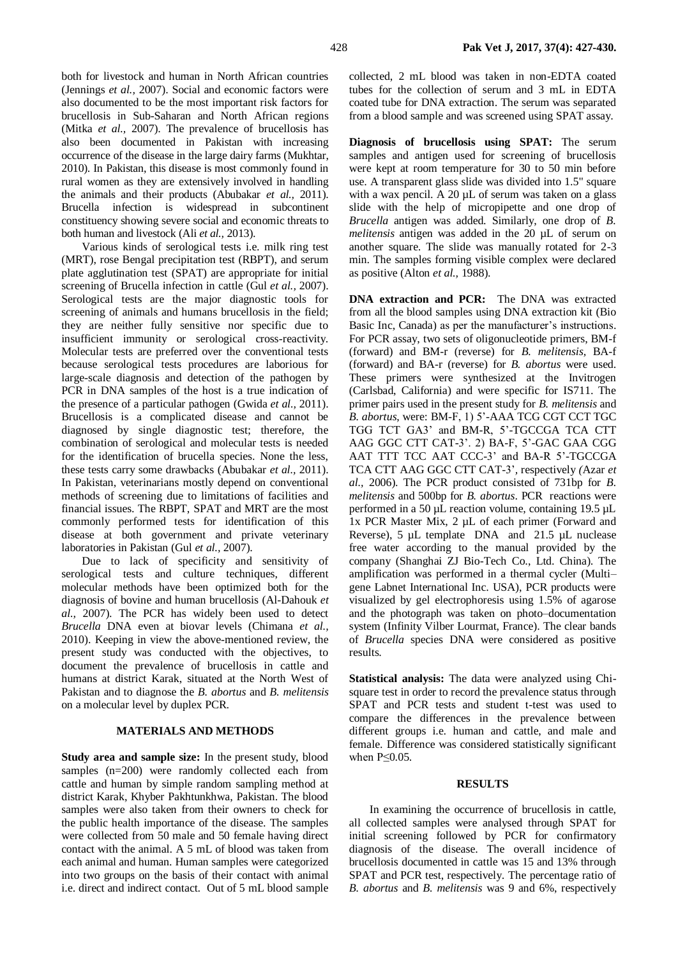both for livestock and human in North African countries (Jennings *et al.,* 2007). Social and economic factors were also documented to be the most important risk factors for brucellosis in Sub-Saharan and North African regions (Mitka *et al.,* 2007). The prevalence of brucellosis has also been documented in Pakistan with increasing occurrence of the disease in the large dairy farms (Mukhtar, 2010). In Pakistan, this disease is most commonly found in rural women as they are extensively involved in handling the animals and their products (Abubakar *et al.,* 2011). Brucella infection is widespread in subcontinent constituency showing severe social and economic threats to both human and livestock (Ali *et al.,* 2013).

Various kinds of serological tests i.e. milk ring test (MRT), rose Bengal precipitation test (RBPT), and serum plate agglutination test (SPAT) are appropriate for initial screening of Brucella infection in cattle (Gul *et al.,* 2007). Serological tests are the major diagnostic tools for screening of animals and humans brucellosis in the field; they are neither fully sensitive nor specific due to insufficient immunity or serological cross-reactivity. Molecular tests are preferred over the conventional tests because serological tests procedures are laborious for large-scale diagnosis and detection of the pathogen by PCR in DNA samples of the host is a true indication of the presence of a particular pathogen (Gwida *et al.,* 2011). Brucellosis is a complicated disease and cannot be diagnosed by single diagnostic test; therefore, the combination of serological and molecular tests is needed for the identification of brucella species. None the less, these tests carry some drawbacks (Abubakar *et al.,* 2011). In Pakistan, veterinarians mostly depend on conventional methods of screening due to limitations of facilities and financial issues. The RBPT, SPAT and MRT are the most commonly performed tests for identification of this disease at both government and private veterinary laboratories in Pakistan (Gul *et al.,* 2007).

Due to lack of specificity and sensitivity of serological tests and culture techniques, different molecular methods have been optimized both for the diagnosis of bovine and human brucellosis (Al-Dahouk *et al.,* 2007). The PCR has widely been used to detect *Brucella* DNA even at biovar levels (Chimana *et al.,* 2010). Keeping in view the above-mentioned review, the present study was conducted with the objectives, to document the prevalence of brucellosis in cattle and humans at district Karak, situated at the North West of Pakistan and to diagnose the *B. abortus* and *B. melitensis* on a molecular level by duplex PCR.

## **MATERIALS AND METHODS**

**Study area and sample size:** In the present study, blood samples (n=200) were randomly collected each from cattle and human by simple random sampling method at district Karak, Khyber Pakhtunkhwa, Pakistan. The blood samples were also taken from their owners to check for the public health importance of the disease. The samples were collected from 50 male and 50 female having direct contact with the animal. A 5 mL of blood was taken from each animal and human. Human samples were categorized into two groups on the basis of their contact with animal i.e. direct and indirect contact. Out of 5 mL blood sample

collected, 2 mL blood was taken in non-EDTA coated tubes for the collection of serum and 3 mL in EDTA coated tube for DNA extraction. The serum was separated from a blood sample and was screened using SPAT assay.

**Diagnosis of brucellosis using SPAT:** The serum samples and antigen used for screening of brucellosis were kept at room temperature for 30 to 50 min before use. A transparent glass slide was divided into 1.5" square with a wax pencil. A 20 µL of serum was taken on a glass slide with the help of micropipette and one drop of *Brucella* antigen was added. Similarly, one drop of *B. melitensis* antigen was added in the 20 µL of serum on another square. The slide was manually rotated for 2-3 min. The samples forming visible complex were declared as positive (Alton *et al.,* 1988).

**DNA extraction and PCR:** The DNA was extracted from all the blood samples using DNA extraction kit (Bio Basic Inc, Canada) as per the manufacturer's instructions. For PCR assay, two sets of oligonucleotide primers, BM-f (forward) and BM-r (reverse) for *B. melitensis,* BA-f (forward) and BA-r (reverse) for *B. abortus* were used. These primers were synthesized at the Invitrogen (Carlsbad, California) and were specific for IS711. The primer pairs used in the present study for *B. melitensis* and *B. abortus*, were: BM-F, 1) 5'-AAA TCG CGT CCT TGC TGG TCT GA3' and BM-R, 5'-TGCCGA TCA CTT AAG GGC CTT CAT-3'. 2) BA-F, 5'-GAC GAA CGG AAT TTT TCC AAT CCC-3' and BA-R 5'-TGCCGA TCA CTT AAG GGC CTT CAT-3'*,* respectively *(*Azar *et al.,* 2006). The PCR product consisted of 731bp for *B. melitensis* and 500bp for *B. abortus*. PCR reactions were performed in a 50 µL reaction volume, containing 19.5 µL 1x PCR Master Mix, 2 µL of each primer (Forward and Reverse), 5 µL template DNA and 21.5 µL nuclease free water according to the manual provided by the company (Shanghai ZJ Bio-Tech Co., Ltd. China). The amplification was performed in a thermal cycler (Multi– gene Labnet International Inc. USA), PCR products were visualized by gel electrophoresis using 1.5% of agarose and the photograph was taken on photo–documentation system (Infinity Vilber Lourmat, France). The clear bands of *Brucella* species DNA were considered as positive results.

**Statistical analysis:** The data were analyzed using Chisquare test in order to record the prevalence status through SPAT and PCR tests and student t-test was used to compare the differences in the prevalence between different groups i.e. human and cattle, and male and female. Difference was considered statistically significant when P≤0.05.

#### **RESULTS**

In examining the occurrence of brucellosis in cattle, all collected samples were analysed through SPAT for initial screening followed by PCR for confirmatory diagnosis of the disease. The overall incidence of brucellosis documented in cattle was 15 and 13% through SPAT and PCR test, respectively. The percentage ratio of *B. abortus* and *B. melitensis* was 9 and 6%, respectively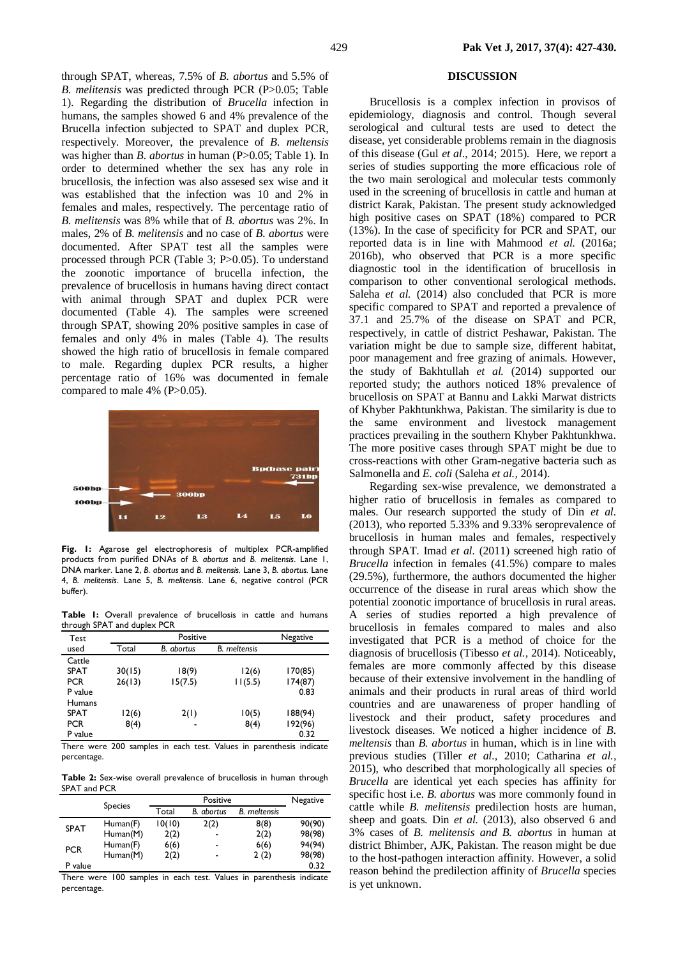through SPAT, whereas, 7.5% of *B. abortus* and 5.5% of *B. melitensis* was predicted through PCR (P>0.05; Table 1). Regarding the distribution of *Brucella* infection in humans, the samples showed 6 and 4% prevalence of the Brucella infection subjected to SPAT and duplex PCR, respectively. Moreover, the prevalence of *B. meltensis* was higher than *B. abortus* in human (P>0.05; Table 1). In order to determined whether the sex has any role in brucellosis, the infection was also assesed sex wise and it was established that the infection was 10 and 2% in females and males, respectively. The percentage ratio of *B. melitensis* was 8% while that of *B. abortus* was 2%. In males, 2% of *B. melitensis* and no case of *B. abortus* were documented. After SPAT test all the samples were processed through PCR (Table 3; P>0.05). To understand the zoonotic importance of brucella infection, the prevalence of brucellosis in humans having direct contact with animal through SPAT and duplex PCR were documented (Table 4). The samples were screened through SPAT, showing 20% positive samples in case of females and only 4% in males (Table 4). The results showed the high ratio of brucellosis in female compared to male. Regarding duplex PCR results, a higher percentage ratio of 16% was documented in female compared to male 4% (P>0.05).



**Fig. 1:** Agarose gel electrophoresis of multiplex PCR-amplified products from purified DNAs of *B. abortus* and *B. melitensis*. Lane 1, DNA marker. Lane 2, *B. abortus* and *B. melitensis.* Lane 3, *B. abortus.* Lane 4, *B. melitensis*. Lane 5, *B. melitensis*. Lane 6, negative control (PCR buffer).

**Table 1:** Overall prevalence of brucellosis in cattle and humans through SPAT and duplex PCR

| Test          |        | Negative          |                     |         |
|---------------|--------|-------------------|---------------------|---------|
| used          | Total  | <b>B.</b> abortus | <b>B.</b> meltensis |         |
| Cattle        |        |                   |                     |         |
| <b>SPAT</b>   | 30(15) | 18(9)             | 12(6)               | 170(85) |
| <b>PCR</b>    | 26(13) | 15(7.5)           | 11(5.5)             | 174(87) |
| P value       |        |                   |                     | 0.83    |
| <b>Humans</b> |        |                   |                     |         |
| <b>SPAT</b>   | 12(6)  | 2(1)              | 10(5)               | 188(94) |
| <b>PCR</b>    | 8(4)   | -                 | 8(4)                | 192(96) |
| P value       |        |                   |                     | 0.32    |

There were 200 samples in each test. Values in parenthesis indicate percentage.

**Table 2:** Sex-wise overall prevalence of brucellosis in human through SPAT and PCR

|             |                | Positive |                |                     | <b>Negative</b> | specific fi |
|-------------|----------------|----------|----------------|---------------------|-----------------|-------------|
|             | <b>Species</b> | Total    | B. abortus     | <b>B.</b> meltensis |                 | cattle wh   |
|             | Human(F)       | 10(10)   | 2(2)           | 8(8)                | 90(90)          | sheep and   |
| <b>SPAT</b> | Human(M)       | 2(2)     | $\blacksquare$ | 2(2)                | 98(98)          | 3% cases    |
| <b>PCR</b>  | Human(F)       | 6(6)     | $\blacksquare$ | 6(6)                | 94(94)          | district B  |
|             | Human(M)       | 2(2)     | $\blacksquare$ | 2(2)                | 98(98)          | to the hos  |
| P value     |                |          |                |                     | 0.32            | naaaan ha   |

There were 100 samples in each test. Values in parenthesis indicate percentage.

## **DISCUSSION**

Brucellosis is a complex infection in provisos of epidemiology, diagnosis and control. Though several serological and cultural tests are used to detect the disease, yet considerable problems remain in the diagnosis of this disease (Gul *et al*., 2014; 2015). Here, we report a series of studies supporting the more efficacious role of the two main serological and molecular tests commonly used in the screening of brucellosis in cattle and human at district Karak, Pakistan. The present study acknowledged high positive cases on SPAT (18%) compared to PCR (13%). In the case of specificity for PCR and SPAT, our reported data is in line with Mahmood *et al.* (2016a; 2016b), who observed that PCR is a more specific diagnostic tool in the identification of brucellosis in comparison to other conventional serological methods. Saleha *et al.* (2014) also concluded that PCR is more specific compared to SPAT and reported a prevalence of 37.1 and 25.7% of the disease on SPAT and PCR, respectively, in cattle of district Peshawar, Pakistan. The variation might be due to sample size, different habitat, poor management and free grazing of animals. However, the study of Bakhtullah *et al.* (2014) supported our reported study; the authors noticed 18% prevalence of brucellosis on SPAT at Bannu and Lakki Marwat districts of Khyber Pakhtunkhwa, Pakistan. The similarity is due to the same environment and livestock management practices prevailing in the southern Khyber Pakhtunkhwa. The more positive cases through SPAT might be due to cross-reactions with other Gram-negative bacteria such as Salmonella and *E. coli* (Saleha *et al.,* 2014).

Regarding sex-wise prevalence, we demonstrated a higher ratio of brucellosis in females as compared to males. Our research supported the study of Din *et al.* (2013), who reported 5.33% and 9.33% seroprevalence of brucellosis in human males and females, respectively through SPAT. Imad *et al.* (2011) screened high ratio of *Brucella* infection in females (41.5%) compare to males (29.5%), furthermore, the authors documented the higher occurrence of the disease in rural areas which show the potential zoonotic importance of brucellosis in rural areas. A series of studies reported a high prevalence of brucellosis in females compared to males and also investigated that PCR is a method of choice for the diagnosis of brucellosis (Tibesso *et al.,* 2014). Noticeably, females are more commonly affected by this disease because of their extensive involvement in the handling of animals and their products in rural areas of third world countries and are unawareness of proper handling of livestock and their product, safety procedures and livestock diseases. We noticed a higher incidence of *B. meltensis* than *B. abortus* in human, which is in line with previous studies (Tiller *et al.,* 2010; Catharina *et al.,* 2015), who described that morphologically all species of *Brucella* are identical yet each species has affinity for specific host i.e. *B. abortus* was more commonly found in cattle while *B. melitensis* predilection hosts are human, sheep and goats. Din *et al.* (2013), also observed 6 and 3% cases of *B. melitensis and B. abortus* in human at district Bhimber, AJK, Pakistan. The reason might be due to the host-pathogen interaction affinity. However, a solid reason behind the predilection affinity of *Brucella* species is yet unknown.